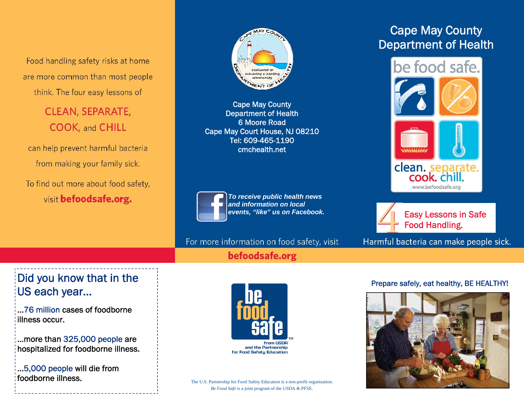Food handling safety risks at home are more common than most people think. The four easy lessons of

> **CLEAN, SEPARATE, COOK, and CHILL**

can help prevent harmful bacteria from making your family sick.

To find out more about food safety, visit befoodsafe.org.



Cape May County Department of Health 6 Moore Road Cape May Court House, NJ 08210 Tel: 609-465-1190 cmchealth.net



*To receive public health news and information on local events, "like" us on Facebook.* 

For more information on food safety, visit

befoodsafe.org

## Cape May County Department of Health





Easy Lessons in Safe Food Handling.

Harmful bacteria can make people sick.

## Did you know that in the US each year…

...76 million cases of foodborne illness occur.

...more than 325,000 people are hospitalized for foodborne illness.

...5,000 people will die from foodborne illness.



The U.S. Partnership for Food Safety Education is a non-profit organization. *Be Food Safe* is a joint program of the USDA & PFSE.

## Prepare safely, eat healthy, BE HEALTHY!